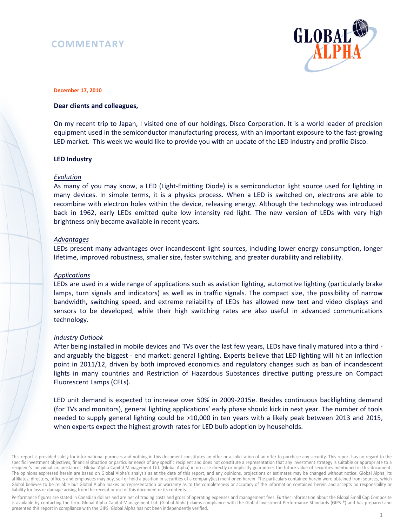# **COMMENTARY**



#### **December 17, 2010**

### **Dear clients and colleagues,**

On my recent trip to Japan, I visited one of our holdings, Disco Corporation. It is a world leader of precision equipment used in the semiconductor manufacturing process, with an important exposure to the fast-growing LED market. This week we would like to provide you with an update of the LED industry and profile Disco.

#### **LED Industry**

#### *Evolution*

As many of you may know, a LED (Light-Emitting Diode) is a semiconductor light source used for lighting in many devices. In simple terms, it is a physics process. When a LED is switched on, electrons are able to recombine with electron holes within the device, releasing energy. Although the technology was introduced back in 1962, early LEDs emitted quite low intensity red light. The new version of LEDs with very high brightness only became available in recent years.

#### *Advantages*

LEDs present many advantages over incandescent light sources, including lower energy consumption, longer lifetime, improved robustness, smaller size, faster switching, and greater durability and reliability.

### *Applications*

LEDs are used in a wide range of applications such as aviation lighting, automotive lighting (particularly brake lamps, turn signals and indicators) as well as in traffic signals. The compact size, the possibility of narrow bandwidth, switching speed, and extreme reliability of LEDs has allowed new text and video displays and sensors to be developed, while their high switching rates are also useful in advanced communications technology.

### *Industry Outlook*

After being installed in mobile devices and TVs over the last few years, LEDs have finally matured into a third and arguably the biggest - end market: general lighting. Experts believe that LED lighting will hit an inflection point in 2011/12, driven by both improved economics and regulatory changes such as ban of incandescent lights in many countries and Restriction of Hazardous Substances directive putting pressure on Compact Fluorescent Lamps (CFLs).

LED unit demand is expected to increase over 50% in 2009-2015e. Besides continuous backlighting demand (for TVs and monitors), general lighting applications' early phase should kick in next year. The number of tools needed to supply general lighting could be >10,000 in ten years with a likely peak between 2013 and 2015, when experts expect the highest growth rates for LED bulb adoption by households.

This report is provided solely for informational purposes and nothing in this document constitutes an offer or a solicitation of an offer to purchase any security. This report has no regard to the specific investment objectives, financial situation or particular needs of any specific recipient and does not constitute a representation that any investment strategy is suitable or appropriate to a recipient's individual circumstances. Global Alpha Capital Management Ltd. (Global Alpha) in no case directly or implicitly guarantees the future value of securities mentioned in this document. The opinions expressed herein are based on Global Alpha's analysis as at the date of this report, and any opinions, projections or estimates may be changed without notice. Global Alpha, its affiliates, directors, officers and employees may buy, sell or hold a position in securities of a company(ies) mentioned herein. The particulars contained herein were obtained from sources, which Global believes to be reliable but Global Alpha makes no representation or warranty as to the completeness or accuracy of the information contained herein and accepts no responsibility or liability for loss or damage arising from the receipt or use of this document or its contents.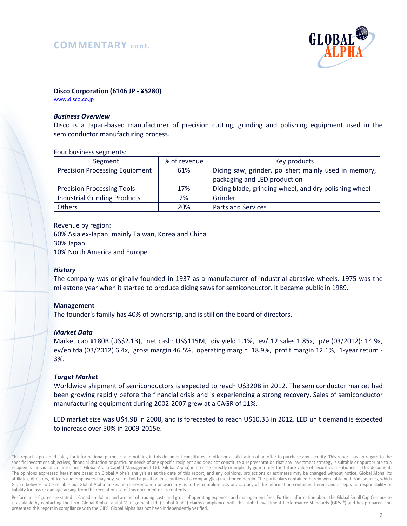# **COMMENTARY cont.**



### **Disco Corporation (6146 JP - ¥5280)**

www.disco.co.jp

### *Business Overview*

Disco is a Japan-based manufacturer of precision cutting, grinding and polishing equipment used in the semiconductor manufacturing process.

#### Four business segments:

| Segment                               | % of revenue | Key products                                                                          |
|---------------------------------------|--------------|---------------------------------------------------------------------------------------|
| <b>Precision Processing Equipment</b> | 61%          | Dicing saw, grinder, polisher; mainly used in memory,<br>packaging and LED production |
| <b>Precision Processing Tools</b>     | 17%          | Dicing blade, grinding wheel, and dry polishing wheel                                 |
| <b>Industrial Grinding Products</b>   | 2%           | Grinder                                                                               |
| <b>Others</b>                         | 20%          | <b>Parts and Services</b>                                                             |

Revenue by region: 60% Asia ex-Japan: mainly Taiwan, Korea and China 30% Japan 10% North America and Europe

### *History*

The company was originally founded in 1937 as a manufacturer of industrial abrasive wheels. 1975 was the milestone year when it started to produce dicing saws for semiconductor. It became public in 1989.

### **Management**

The founder's family has 40% of ownership, and is still on the board of directors.

### *Market Data*

Market cap ¥180B (US\$2.1B), net cash: US\$115M, div yield 1.1%, ev/t12 sales 1.85x, p/e (03/2012): 14.9x, ev/ebitda (03/2012) 6.4x, gross margin 46.5%, operating margin 18.9%, profit margin 12.1%, 1-year return - 3%.

### *Target Market*

Worldwide shipment of semiconductors is expected to reach U\$320B in 2012. The semiconductor market had been growing rapidly before the financial crisis and is experiencing a strong recovery. Sales of semiconductor manufacturing equipment during 2002-2007 grew at a CAGR of 11%.

LED market size was U\$4.9B in 2008, and is forecasted to reach U\$10.3B in 2012. LED unit demand is expected to increase over 50% in 2009-2015e.

This report is provided solely for informational purposes and nothing in this document constitutes an offer or a solicitation of an offer to purchase any security. This report has no regard to the specific investment objectives, financial situation or particular needs of any specific recipient and does not constitute a representation that any investment strategy is suitable or appropriate to a recipient's individual circumstances. Global Alpha Capital Management Ltd. (Global Alpha) in no case directly or implicitly guarantees the future value of securities mentioned in this document. The opinions expressed herein are based on Global Alpha's analysis as at the date of this report, and any opinions, projections or estimates may be changed without notice. Global Alpha, its affiliates, directors, officers and employees may buy, sell or hold a position in securities of a company(ies) mentioned herein. The particulars contained herein were obtained from sources, which Global believes to be reliable but Global Alpha makes no representation or warranty as to the completeness or accuracy of the information contained herein and accepts no responsibility or liability for loss or damage arising from the receipt or use of this document or its contents.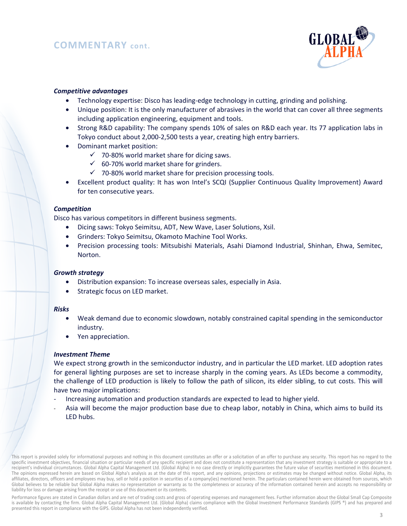

## *Competitive advantages*

- Technology expertise: Disco has leading-edge technology in cutting, grinding and polishing.
- Unique position: It is the only manufacturer of abrasives in the world that can cover all three segments including application engineering, equipment and tools.
- Strong R&D capability: The company spends 10% of sales on R&D each year. Its 77 application labs in Tokyo conduct about 2,000-2,500 tests a year, creating high entry barriers.
- Dominant market position:
	- $\checkmark$  70-80% world market share for dicing saws.
	- $60-70\%$  world market share for grinders.
	- $\checkmark$  70-80% world market share for precision processing tools.
- Excellent product quality: It has won Intel's SCQI (Supplier Continuous Quality Improvement) Award for ten consecutive years.

### *Competition*

Disco has various competitors in different business segments.

- Dicing saws: Tokyo Seimitsu, ADT, New Wave, Laser Solutions, Xsil.
- Grinders: Tokyo Seimitsu, Okamoto Machine Tool Works.
- Precision processing tools: Mitsubishi Materials, Asahi Diamond Industrial, Shinhan, Ehwa, Semitec, Norton.

### *Growth strategy*

- Distribution expansion: To increase overseas sales, especially in Asia.
- Strategic focus on LED market.

#### *Risks*

- Weak demand due to economic slowdown, notably constrained capital spending in the semiconductor industry.
- Yen appreciation.

### *Investment Theme*

We expect strong growth in the semiconductor industry, and in particular the LED market. LED adoption rates for general lighting purposes are set to increase sharply in the coming years. As LEDs become a commodity, the challenge of LED production is likely to follow the path of silicon, its elder sibling, to cut costs. This will have two major implications:

- Increasing automation and production standards are expected to lead to higher yield.
- Asia will become the major production base due to cheap labor, notably in China, which aims to build its LED hubs.

This report is provided solely for informational purposes and nothing in this document constitutes an offer or a solicitation of an offer to purchase any security. This report has no regard to the specific investment objectives, financial situation or particular needs of any specific recipient and does not constitute a representation that any investment strategy is suitable or appropriate to a recipient's individual circumstances. Global Alpha Capital Management Ltd. (Global Alpha) in no case directly or implicitly guarantees the future value of securities mentioned in this document. The opinions expressed herein are based on Global Alpha's analysis as at the date of this report, and any opinions, projections or estimates may be changed without notice. Global Alpha, its affiliates, directors, officers and employees may buy, sell or hold a position in securities of a company(ies) mentioned herein. The particulars contained herein were obtained from sources, which Global believes to be reliable but Global Alpha makes no representation or warranty as to the completeness or accuracy of the information contained herein and accepts no responsibility or liability for loss or damage arising from the receipt or use of this document or its contents.